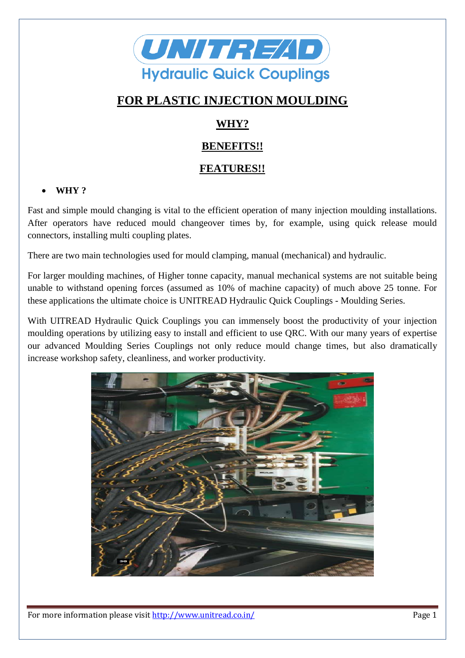

# **FOR PLASTIC INJECTION MOULDING**

# **WHY?**

## **BENEFITS!!**

## **FEATURES!!**

### **WHY ?**

Fast and simple mould changing is vital to the efficient operation of many injection moulding installations. After operators have reduced mould changeover times by, for example, using quick release mould connectors, installing multi coupling plates.

There are two main technologies used for mould clamping, manual (mechanical) and hydraulic.

For larger moulding machines, of Higher tonne capacity, manual mechanical systems are not suitable being unable to withstand opening forces (assumed as 10% of machine capacity) of much above 25 tonne. For these applications the ultimate choice is UNITREAD Hydraulic Quick Couplings - Moulding Series.

With UITREAD Hydraulic Quick Couplings you can immensely boost the productivity of your injection moulding operations by utilizing easy to install and efficient to use QRC. With our many years of expertise our advanced Moulding Series Couplings not only reduce mould change times, but also dramatically increase workshop safety, cleanliness, and worker productivity.



For more information please visit http://www.unitread.co.in/ Page 1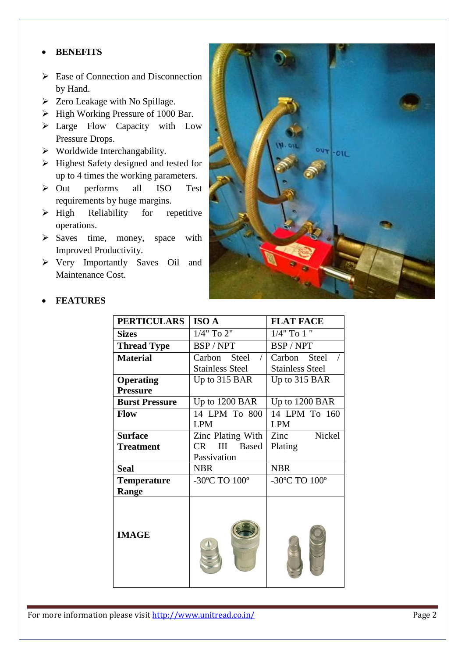### **BENEFITS**

- $\triangleright$  Ease of Connection and Disconnection by Hand.
- $\triangleright$  Zero Leakage with No Spillage.
- $\triangleright$  High Working Pressure of 1000 Bar.
- > Large Flow Capacity with Low Pressure Drops.
- $\triangleright$  Worldwide Interchangability.
- $\triangleright$  Highest Safety designed and tested for up to 4 times the working parameters.
- Out performs all ISO Test requirements by huge margins.
- $\triangleright$  High Reliability for repetitive operations.
- $\triangleright$  Saves time, money, space with Improved Productivity.
- Very Importantly Saves Oil and Maintenance Cost.



| <b>PERTICULARS</b>    | <b>ISO A</b>             | <b>FLAT FACE</b>       |
|-----------------------|--------------------------|------------------------|
| <b>Sizes</b>          | 1/4" To 2"               | $1/4$ " To $1$ "       |
| <b>Thread Type</b>    | BSP/NPT                  | BSP / NPT              |
| <b>Material</b>       | Carbon Steel             | Steel<br>Carbon        |
|                       | <b>Stainless Steel</b>   | <b>Stainless Steel</b> |
| <b>Operating</b>      | Up to $315$ BAR          | Up to 315 BAR          |
| <b>Pressure</b>       |                          |                        |
| <b>Burst Pressure</b> | Up to 1200 BAR           | Up to 1200 BAR         |
| Flow                  | 14 LPM To 800            | 14 LPM To 160          |
|                       | <b>LPM</b>               | <b>LPM</b>             |
| <b>Surface</b>        | Zinc Plating With        | Nickel<br>Zinc         |
| <b>Treatment</b>      | <b>Based</b><br>CR.<br>Ш | Plating                |
|                       | Passivation              |                        |
| <b>Seal</b>           | <b>NBR</b>               | <b>NBR</b>             |
| <b>Temperature</b>    | -30°C TO 100°            | -30°C TO 100°          |
| Range                 |                          |                        |
| <b>IMAGE</b>          |                          |                        |

#### **FEATURES**

For more information please visit http://www.unitread.co.in/ Page 2